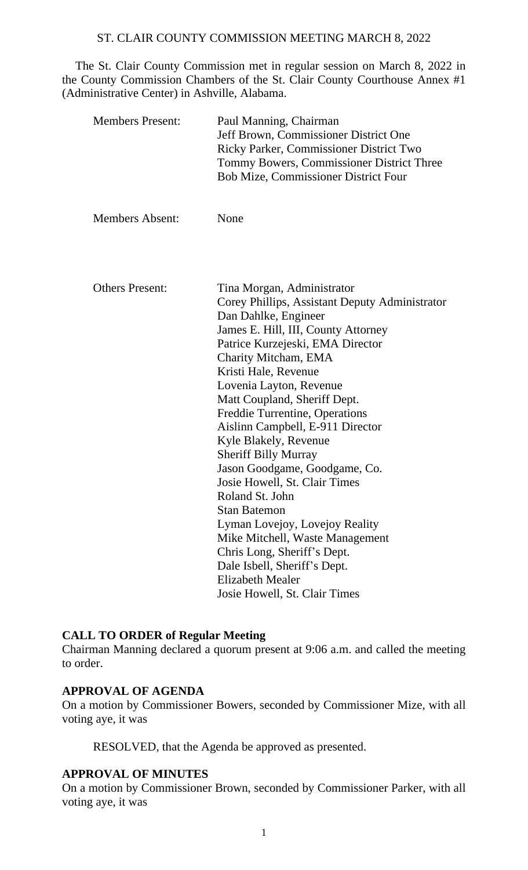The St. Clair County Commission met in regular session on March 8, 2022 in the County Commission Chambers of the St. Clair County Courthouse Annex #1 (Administrative Center) in Ashville, Alabama.

| <b>Members Present:</b> | Paul Manning, Chairman<br>Jeff Brown, Commissioner District One<br>Ricky Parker, Commissioner District Two<br>Tommy Bowers, Commissioner District Three<br><b>Bob Mize, Commissioner District Four</b> |
|-------------------------|--------------------------------------------------------------------------------------------------------------------------------------------------------------------------------------------------------|
| <b>Members Absent:</b>  | None                                                                                                                                                                                                   |
| <b>Others Present:</b>  | Tina Morgan, Administrator                                                                                                                                                                             |
|                         | Corey Phillips, Assistant Deputy Administrator                                                                                                                                                         |
|                         | Dan Dahlke, Engineer                                                                                                                                                                                   |
|                         | James E. Hill, III, County Attorney                                                                                                                                                                    |
|                         | Patrice Kurzejeski, EMA Director                                                                                                                                                                       |
|                         | Charity Mitcham, EMA                                                                                                                                                                                   |
|                         | Kristi Hale, Revenue                                                                                                                                                                                   |
|                         | Lovenia Layton, Revenue                                                                                                                                                                                |
|                         | Matt Coupland, Sheriff Dept.                                                                                                                                                                           |
|                         | Freddie Turrentine, Operations                                                                                                                                                                         |
|                         | Aislinn Campbell, E-911 Director                                                                                                                                                                       |
|                         | Kyle Blakely, Revenue                                                                                                                                                                                  |
|                         | <b>Sheriff Billy Murray</b>                                                                                                                                                                            |
|                         | Jason Goodgame, Goodgame, Co.<br>Josie Howell, St. Clair Times                                                                                                                                         |
|                         | Roland St. John                                                                                                                                                                                        |
|                         | <b>Stan Batemon</b>                                                                                                                                                                                    |
|                         | Lyman Lovejoy, Lovejoy Reality                                                                                                                                                                         |
|                         | Mike Mitchell, Waste Management                                                                                                                                                                        |
|                         | Chris Long, Sheriff's Dept.                                                                                                                                                                            |
|                         | Dale Isbell, Sheriff's Dept.                                                                                                                                                                           |
|                         | <b>Elizabeth Mealer</b>                                                                                                                                                                                |
|                         | Josie Howell, St. Clair Times                                                                                                                                                                          |

# **CALL TO ORDER of Regular Meeting**

Chairman Manning declared a quorum present at 9:06 a.m. and called the meeting to order.

# **APPROVAL OF AGENDA**

On a motion by Commissioner Bowers, seconded by Commissioner Mize, with all voting aye, it was

RESOLVED, that the Agenda be approved as presented.

# **APPROVAL OF MINUTES**

On a motion by Commissioner Brown, seconded by Commissioner Parker, with all voting aye, it was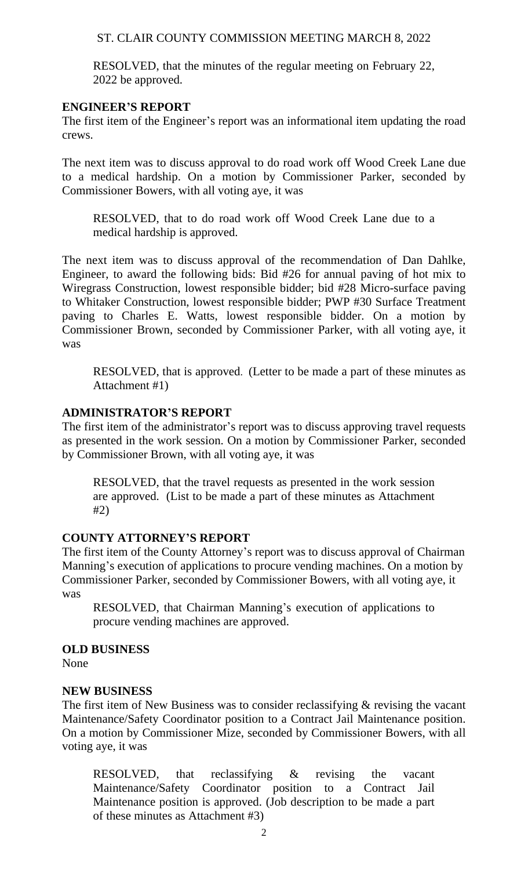RESOLVED, that the minutes of the regular meeting on February 22, 2022 be approved.

### **ENGINEER'S REPORT**

The first item of the Engineer's report was an informational item updating the road crews.

The next item was to discuss approval to do road work off Wood Creek Lane due to a medical hardship. On a motion by Commissioner Parker, seconded by Commissioner Bowers, with all voting aye, it was

RESOLVED, that to do road work off Wood Creek Lane due to a medical hardship is approved.

The next item was to discuss approval of the recommendation of Dan Dahlke, Engineer, to award the following bids: Bid #26 for annual paving of hot mix to Wiregrass Construction, lowest responsible bidder; bid #28 Micro-surface paving to Whitaker Construction, lowest responsible bidder; PWP #30 Surface Treatment paving to Charles E. Watts, lowest responsible bidder. On a motion by Commissioner Brown, seconded by Commissioner Parker, with all voting aye, it was

RESOLVED, that is approved. (Letter to be made a part of these minutes as Attachment #1)

## **ADMINISTRATOR'S REPORT**

The first item of the administrator's report was to discuss approving travel requests as presented in the work session. On a motion by Commissioner Parker, seconded by Commissioner Brown, with all voting aye, it was

RESOLVED, that the travel requests as presented in the work session are approved. (List to be made a part of these minutes as Attachment #2)

# **COUNTY ATTORNEY'S REPORT**

The first item of the County Attorney's report was to discuss approval of Chairman Manning's execution of applications to procure vending machines. On a motion by Commissioner Parker, seconded by Commissioner Bowers, with all voting aye, it was

RESOLVED, that Chairman Manning's execution of applications to procure vending machines are approved.

#### **OLD BUSINESS**

None

#### **NEW BUSINESS**

The first item of New Business was to consider reclassifying & revising the vacant Maintenance/Safety Coordinator position to a Contract Jail Maintenance position. On a motion by Commissioner Mize, seconded by Commissioner Bowers, with all voting aye, it was

RESOLVED, that reclassifying & revising the vacant Maintenance/Safety Coordinator position to a Contract Jail Maintenance position is approved. (Job description to be made a part of these minutes as Attachment #3)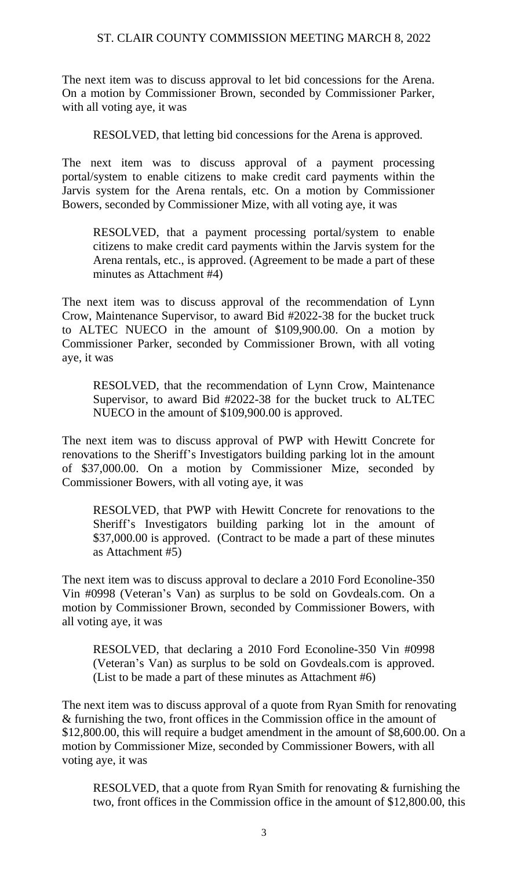The next item was to discuss approval to let bid concessions for the Arena. On a motion by Commissioner Brown, seconded by Commissioner Parker, with all voting aye, it was

RESOLVED, that letting bid concessions for the Arena is approved.

The next item was to discuss approval of a payment processing portal/system to enable citizens to make credit card payments within the Jarvis system for the Arena rentals, etc. On a motion by Commissioner Bowers, seconded by Commissioner Mize, with all voting aye, it was

RESOLVED, that a payment processing portal/system to enable citizens to make credit card payments within the Jarvis system for the Arena rentals, etc., is approved. (Agreement to be made a part of these minutes as Attachment #4)

The next item was to discuss approval of the recommendation of Lynn Crow, Maintenance Supervisor, to award Bid #2022-38 for the bucket truck to ALTEC NUECO in the amount of \$109,900.00. On a motion by Commissioner Parker, seconded by Commissioner Brown, with all voting aye, it was

RESOLVED, that the recommendation of Lynn Crow, Maintenance Supervisor, to award Bid #2022-38 for the bucket truck to ALTEC NUECO in the amount of \$109,900.00 is approved.

The next item was to discuss approval of PWP with Hewitt Concrete for renovations to the Sheriff's Investigators building parking lot in the amount of \$37,000.00. On a motion by Commissioner Mize, seconded by Commissioner Bowers, with all voting aye, it was

RESOLVED, that PWP with Hewitt Concrete for renovations to the Sheriff's Investigators building parking lot in the amount of \$37,000.00 is approved. (Contract to be made a part of these minutes as Attachment #5)

The next item was to discuss approval to declare a 2010 Ford Econoline-350 Vin #0998 (Veteran's Van) as surplus to be sold on Govdeals.com. On a motion by Commissioner Brown, seconded by Commissioner Bowers, with all voting aye, it was

RESOLVED, that declaring a 2010 Ford Econoline-350 Vin #0998 (Veteran's Van) as surplus to be sold on Govdeals.com is approved. (List to be made a part of these minutes as Attachment #6)

The next item was to discuss approval of a quote from Ryan Smith for renovating & furnishing the two, front offices in the Commission office in the amount of \$12,800.00, this will require a budget amendment in the amount of \$8,600.00. On a motion by Commissioner Mize, seconded by Commissioner Bowers, with all voting aye, it was

RESOLVED, that a quote from Ryan Smith for renovating & furnishing the two, front offices in the Commission office in the amount of \$12,800.00, this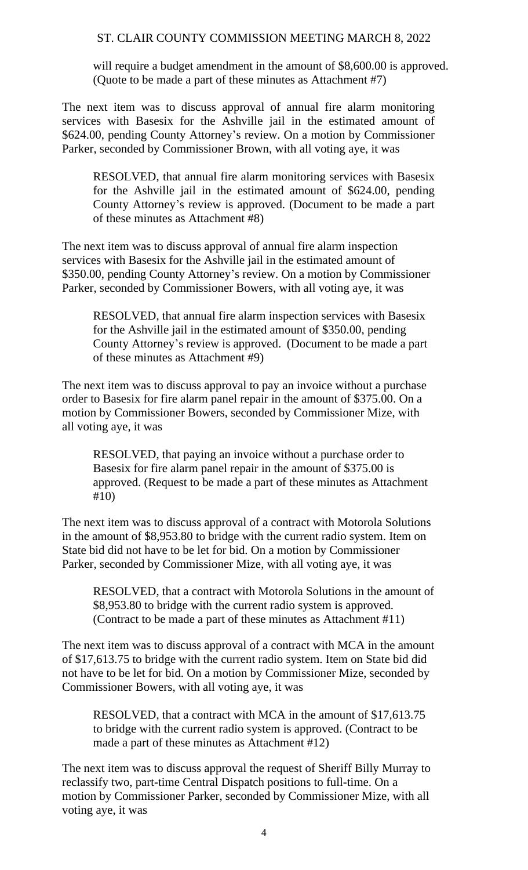will require a budget amendment in the amount of \$8,600.00 is approved. (Quote to be made a part of these minutes as Attachment #7)

The next item was to discuss approval of annual fire alarm monitoring services with Basesix for the Ashville jail in the estimated amount of \$624.00, pending County Attorney's review. On a motion by Commissioner Parker, seconded by Commissioner Brown, with all voting aye, it was

RESOLVED, that annual fire alarm monitoring services with Basesix for the Ashville jail in the estimated amount of \$624.00, pending County Attorney's review is approved. (Document to be made a part of these minutes as Attachment #8)

The next item was to discuss approval of annual fire alarm inspection services with Basesix for the Ashville jail in the estimated amount of \$350.00, pending County Attorney's review. On a motion by Commissioner Parker, seconded by Commissioner Bowers, with all voting aye, it was

RESOLVED, that annual fire alarm inspection services with Basesix for the Ashville jail in the estimated amount of \$350.00, pending County Attorney's review is approved. (Document to be made a part of these minutes as Attachment #9)

The next item was to discuss approval to pay an invoice without a purchase order to Basesix for fire alarm panel repair in the amount of \$375.00. On a motion by Commissioner Bowers, seconded by Commissioner Mize, with all voting aye, it was

RESOLVED, that paying an invoice without a purchase order to Basesix for fire alarm panel repair in the amount of \$375.00 is approved. (Request to be made a part of these minutes as Attachment #10)

The next item was to discuss approval of a contract with Motorola Solutions in the amount of \$8,953.80 to bridge with the current radio system. Item on State bid did not have to be let for bid. On a motion by Commissioner Parker, seconded by Commissioner Mize, with all voting aye, it was

RESOLVED, that a contract with Motorola Solutions in the amount of \$8,953.80 to bridge with the current radio system is approved. (Contract to be made a part of these minutes as Attachment #11)

The next item was to discuss approval of a contract with MCA in the amount of \$17,613.75 to bridge with the current radio system. Item on State bid did not have to be let for bid. On a motion by Commissioner Mize, seconded by Commissioner Bowers, with all voting aye, it was

RESOLVED, that a contract with MCA in the amount of \$17,613.75 to bridge with the current radio system is approved. (Contract to be made a part of these minutes as Attachment #12)

The next item was to discuss approval the request of Sheriff Billy Murray to reclassify two, part-time Central Dispatch positions to full-time. On a motion by Commissioner Parker, seconded by Commissioner Mize, with all voting aye, it was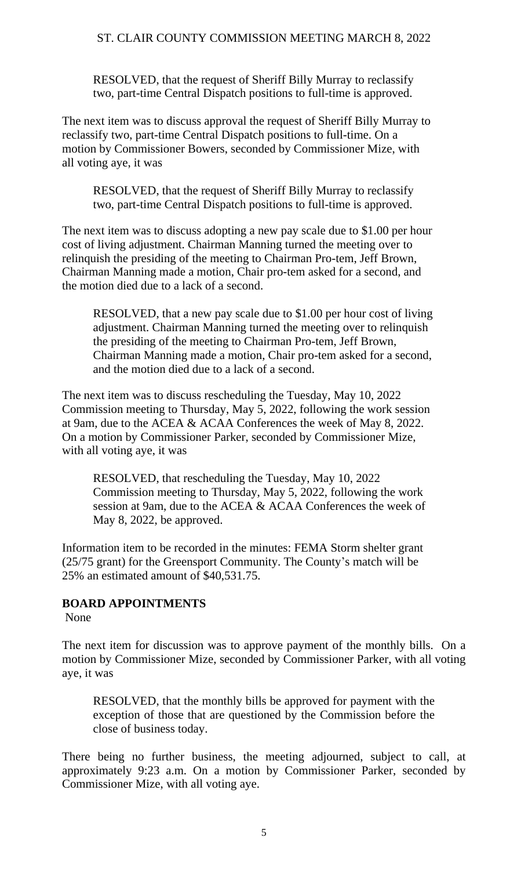RESOLVED, that the request of Sheriff Billy Murray to reclassify two, part-time Central Dispatch positions to full-time is approved.

The next item was to discuss approval the request of Sheriff Billy Murray to reclassify two, part-time Central Dispatch positions to full-time. On a motion by Commissioner Bowers, seconded by Commissioner Mize, with all voting aye, it was

RESOLVED, that the request of Sheriff Billy Murray to reclassify two, part-time Central Dispatch positions to full-time is approved.

The next item was to discuss adopting a new pay scale due to \$1.00 per hour cost of living adjustment. Chairman Manning turned the meeting over to relinquish the presiding of the meeting to Chairman Pro-tem, Jeff Brown, Chairman Manning made a motion, Chair pro-tem asked for a second, and the motion died due to a lack of a second.

RESOLVED, that a new pay scale due to \$1.00 per hour cost of living adjustment. Chairman Manning turned the meeting over to relinquish the presiding of the meeting to Chairman Pro-tem, Jeff Brown, Chairman Manning made a motion, Chair pro-tem asked for a second, and the motion died due to a lack of a second.

The next item was to discuss rescheduling the Tuesday, May 10, 2022 Commission meeting to Thursday, May 5, 2022, following the work session at 9am, due to the ACEA & ACAA Conferences the week of May 8, 2022. On a motion by Commissioner Parker, seconded by Commissioner Mize, with all voting aye, it was

RESOLVED, that rescheduling the Tuesday, May 10, 2022 Commission meeting to Thursday, May 5, 2022, following the work session at 9am, due to the ACEA & ACAA Conferences the week of May 8, 2022, be approved.

Information item to be recorded in the minutes: FEMA Storm shelter grant (25/75 grant) for the Greensport Community. The County's match will be 25% an estimated amount of \$40,531.75.

# **BOARD APPOINTMENTS**

None

The next item for discussion was to approve payment of the monthly bills. On a motion by Commissioner Mize, seconded by Commissioner Parker, with all voting aye, it was

RESOLVED, that the monthly bills be approved for payment with the exception of those that are questioned by the Commission before the close of business today.

There being no further business, the meeting adjourned, subject to call, at approximately 9:23 a.m. On a motion by Commissioner Parker, seconded by Commissioner Mize, with all voting aye.